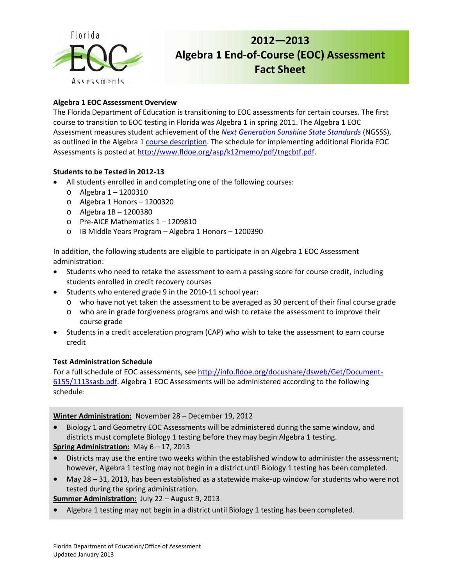

# **2012—2013 Algebra 1 End-of-Course (EOC) Assessment Fact Sheet**

## **Algebra 1 EOC Assessment Overview**

The Florida Department of Education is transitioning to EOC assessments for certain courses. The first course to transition to EOC testing in Florida was Algebra 1 in spring 2011. The Algebra 1 EOC Assessment measures student achievement of the *[Next Generation Sunshine State Standards](http://www.floridastandards.org/index.aspx)* (NGSSS), as outlined in the Algebra 1 [course description.](http://www.floridastandards.org/Courses/PublicPreviewCourse1.aspx) The schedule for implementing additional Florida EOC Assessments is posted a[t http://www.fldoe.org/asp/k12memo/pdf/tngcbtf.pdf.](http://www.fldoe.org/asp/k12memo/pdf/tngcbtf.pdf)

### **Students to be Tested in 2012-13**

- All students enrolled in and completing one of the following courses:
	- o Algebra 1 1200310
	- o Algebra 1 Honors 1200320
	- o Algebra 1B 1200380
	- o Pre-AICE Mathematics 1 1209810
	- o IB Middle Years Program Algebra 1 Honors 1200390

In addition, the following students are eligible to participate in an Algebra 1 EOC Assessment administration:

- Students who need to retake the assessment to earn a passing score for course credit, including students enrolled in credit recovery courses
- Students who entered grade 9 in the 2010-11 school year:
	- o who have not yet taken the assessment to be averaged as 30 percent of their final course grade
	- o who are in grade forgiveness programs and wish to retake the assessment to improve their course grade
- Students in a credit acceleration program (CAP) who wish to take the assessment to earn course credit

#### **Test Administration Schedule**

For a full schedule of EOC assessments, se[e http://info.fldoe.org/docushare/dsweb/Get/Document-](http://info.fldoe.org/docushare/dsweb/Get/Document-6155/1113sasb.pdf)[6155/1113sasb.pdf.](http://info.fldoe.org/docushare/dsweb/Get/Document-6155/1113sasb.pdf) Algebra 1 EOC Assessments will be administered according to the following schedule:

#### **Winter Administration:** November 28 – December 19, 2012

• Biology 1 and Geometry EOC Assessments will be administered during the same window, and districts must complete Biology 1 testing before they may begin Algebra 1 testing.

## **Spring Administration:** May 6 – 17, 2013

- Districts may use the entire two weeks within the established window to administer the assessment; however, Algebra 1 testing may not begin in a district until Biology 1 testing has been completed.
- May 28 31, 2013, has been established as a statewide make-up window for students who were not tested during the spring administration.

**Summer Administration:** July 22 – August 9, 2013

• Algebra 1 testing may not begin in a district until Biology 1 testing has been completed.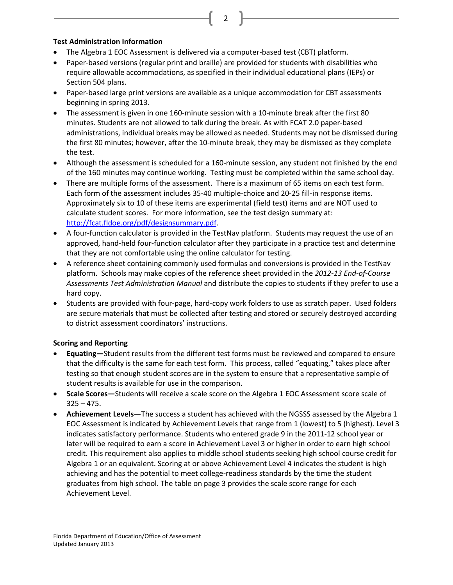#### **Test Administration Information**

- The Algebra 1 EOC Assessment is delivered via a computer-based test (CBT) platform.
- Paper-based versions (regular print and braille) are provided for students with disabilities who require allowable accommodations, as specified in their individual educational plans (IEPs) or Section 504 plans.

2

- Paper-based large print versions are available as a unique accommodation for CBT assessments beginning in spring 2013.
- The assessment is given in one 160-minute session with a 10-minute break after the first 80 minutes. Students are not allowed to talk during the break. As with FCAT 2.0 paper-based administrations, individual breaks may be allowed as needed. Students may not be dismissed during the first 80 minutes; however, after the 10-minute break, they may be dismissed as they complete the test.
- Although the assessment is scheduled for a 160-minute session, any student not finished by the end of the 160 minutes may continue working. Testing must be completed within the same school day.
- There are multiple forms of the assessment. There is a maximum of 65 items on each test form. Each form of the assessment includes 35-40 multiple-choice and 20-25 fill-in response items. Approximately six to 10 of these items are experimental (field test) items and are NOT used to calculate student scores. For more information, see the test design summary at: [http://fcat.fldoe.org/pdf/designsummary.pdf.](http://fcat.fldoe.org/pdf/designsummary.pdf)
- A four-function calculator is provided in the TestNav platform. Students may request the use of an approved, hand-held four-function calculator after they participate in a practice test and determine that they are not comfortable using the online calculator for testing.
- A reference sheet containing commonly used formulas and conversions is provided in the TestNav platform. Schools may make copies of the reference sheet provided in the *2012-13 End-of-Course Assessments Test Administration Manual* and distribute the copies to students if they prefer to use a hard copy.
- Students are provided with four-page, hard-copy work folders to use as scratch paper. Used folders are secure materials that must be collected after testing and stored or securely destroyed according to district assessment coordinators' instructions.

#### **Scoring and Reporting**

- **Equating—**Student results from the different test forms must be reviewed and compared to ensure that the difficulty is the same for each test form. This process, called "equating," takes place after testing so that enough student scores are in the system to ensure that a representative sample of student results is available for use in the comparison.
- **Scale Scores—**Students will receive a scale score on the Algebra 1 EOC Assessment score scale of  $325 - 475$ .
- **Achievement Levels—**The success a student has achieved with the NGSSS assessed by the Algebra 1 EOC Assessment is indicated by Achievement Levels that range from 1 (lowest) to 5 (highest). Level 3 indicates satisfactory performance. Students who entered grade 9 in the 2011-12 school year or later will be required to earn a score in Achievement Level 3 or higher in order to earn high school credit. This requirement also applies to middle school students seeking high school course credit for Algebra 1 or an equivalent. Scoring at or above Achievement Level 4 indicates the student is high achieving and has the potential to meet college-readiness standards by the time the student graduates from high school. The table on page 3 provides the scale score range for each Achievement Level.